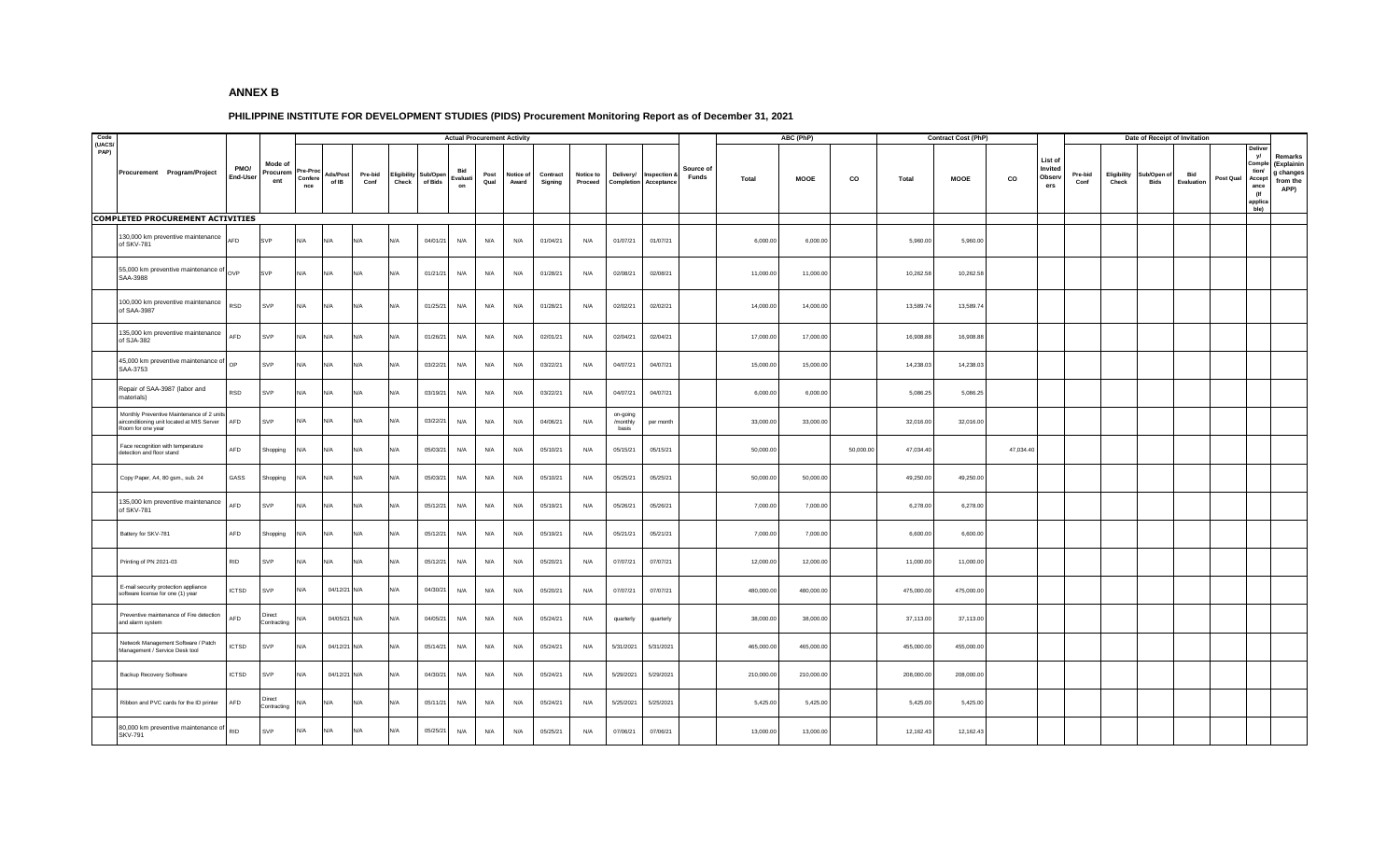## **ANNEX B**

## **PHILIPPINE INSTITUTE FOR DEVELOPMENT STUDIES (PIDS) Procurement Monitoring Report as of December 31, 2021**

| Code<br>(UACS/ |                                                                                                              |                  |                            |                          |                   |                 |                      |                     |                             | <b>Actual Procurement Activity</b> |                    |                     |                             |                               |                           |                    |              | ABC (PhP)   |           |            | <b>Contract Cost (PhP)</b> |           |                                            |                 |                      |                    | Date of Receipt of Invitation |           |                                                                            |                                                        |
|----------------|--------------------------------------------------------------------------------------------------------------|------------------|----------------------------|--------------------------|-------------------|-----------------|----------------------|---------------------|-----------------------------|------------------------------------|--------------------|---------------------|-----------------------------|-------------------------------|---------------------------|--------------------|--------------|-------------|-----------|------------|----------------------------|-----------|--------------------------------------------|-----------------|----------------------|--------------------|-------------------------------|-----------|----------------------------------------------------------------------------|--------------------------------------------------------|
| PAP)           | Procurement Program/Project                                                                                  | PMO/<br>End-User | Mode of<br>Procurem<br>ent | re-Pro<br>Confere<br>nce | Ads/Post<br>of IB | Pre-bid<br>Conf | Eligibility<br>Check | Sub/Open<br>of Bids | <b>Bid</b><br>Evaluat<br>on | Post<br>Qual                       | Notice of<br>Award | Contract<br>Signing | <b>Notice to</b><br>Proceed | Delivery/<br>Completion       | Inspection &<br>Acceptano | Source of<br>Funds | <b>Total</b> | <b>MOOE</b> | co        | Total      | <b>MOOE</b>                | CO        | List of<br>Invited<br><b>Observ</b><br>ers | Pre-bid<br>Conf | Eligibility<br>Check | Sub/Open o<br>Bids | Bid<br>Evaluation             | Post Qual | Delive<br>yl<br>Compl<br>tion/<br>Accept<br>ance<br>(If<br>applica<br>ble) | Remarks<br>(Explainin<br>g changes<br>from the<br>APP) |
|                | COMPLETED PROCUREMENT ACTIVITIES                                                                             |                  |                            |                          |                   |                 |                      |                     |                             |                                    |                    |                     |                             |                               |                           |                    |              |             |           |            |                            |           |                                            |                 |                      |                    |                               |           |                                                                            |                                                        |
|                | 130,000 km preventive maintenance<br>of SKV-781                                                              | AFD              | <b>SVP</b>                 | N/A                      | N/A               | N/A             | N/A                  | 04/01/21            | N/A                         | N/A                                | N/A                | 01/04/21            | N/A                         | 01/07/21                      | 01/07/21                  |                    | 6,000.00     | 6,000.00    |           | 5,960.00   | 5,960.00                   |           |                                            |                 |                      |                    |                               |           |                                                                            |                                                        |
|                | 55,000 km preventive maintenance of OVP<br>SAA-3988                                                          |                  | SVP                        | N/A                      | N/A               | N/A             | N/A                  | 01/21/21            | N/A                         | N/A                                | N/A                | 01/28/21            | N/A                         | 02/08/21                      | 02/08/21                  |                    | 11,000.00    | 11,000.00   |           | 10,262.58  | 10,262.58                  |           |                                            |                 |                      |                    |                               |           |                                                                            |                                                        |
|                | 100,000 km preventive maintenance<br>of SAA-3987                                                             | RSD              | SVP                        | N/A                      | N/A               | N/A             | N/A                  | 01/25/21            | N/A                         | N/A                                | N/A                | 01/28/21            | N/A                         | 02/02/21                      | 02/02/21                  |                    | 14,000.00    | 14,000.00   |           | 13,589.74  | 13,589.74                  |           |                                            |                 |                      |                    |                               |           |                                                                            |                                                        |
|                | 135,000 km preventive maintenance<br>of SJA-382                                                              | AFD              | SVP                        | N/A                      | N/A               | N/A             | N/A                  | 01/26/21            | N/A                         | N/A                                | N/A                | 02/01/21            | N/A                         | 02/04/21                      | 02/04/21                  |                    | 17,000.00    | 17,000.00   |           | 16,908.88  | 16,908.88                  |           |                                            |                 |                      |                    |                               |           |                                                                            |                                                        |
|                | 45,000 km preventive maintenance of<br>SAA-3753                                                              | OP               | SVP                        | N/A                      | N/A               | N/A             | N/A                  | 03/22/21            | N/A                         | N/A                                | N/A                | 03/22/21            | N/A                         | 04/07/21                      | 04/07/21                  |                    | 15,000.00    | 15,000.00   |           | 14,238.03  | 14,238.03                  |           |                                            |                 |                      |                    |                               |           |                                                                            |                                                        |
|                | Repair of SAA-3987 (labor and<br>materials)                                                                  | RSD              | SVP                        | N/A                      | N/A               | N/A             | N/A                  | 03/19/21            | N/A                         | N/A                                | N/A                | 03/22/21            | N/A                         | 04/07/21                      | 04/07/21                  |                    | 6,000.00     | 6,000.00    |           | 5,086.25   | 5,086.25                   |           |                                            |                 |                      |                    |                               |           |                                                                            |                                                        |
|                | Monthly Preventive Maintenance of 2 units<br>airconditioning unit located at MIS Server<br>Room for one year | AFD              | SVP                        | N/A                      | N/A               | N/A             | N/A                  | 03/22/21            | N/A                         | N/A                                | N/A                | 04/06/21            | N/A                         | on-going<br>/monthly<br>basis | per month                 |                    | 33,000.00    | 33,000.00   |           | 32,016.00  | 32,016.00                  |           |                                            |                 |                      |                    |                               |           |                                                                            |                                                        |
|                | Face recognition with temperature<br>detection and floor stand                                               | AFD              | Shopping                   | N/A                      | N/A               | N/A             | N/A                  | 05/03/21            | N/A                         | N/A                                | N/A                | 05/10/21            | N/A                         | 05/15/21                      | 05/15/21                  |                    | 50,000.00    |             | 50,000.00 | 47,034.40  |                            | 47,034.40 |                                            |                 |                      |                    |                               |           |                                                                            |                                                        |
|                | Copy Paper, A4, 80 gsm., sub. 24                                                                             | GASS             | Shopping                   | N/A                      | N/A               | N/A             | N/A                  | 05/03/21            | N/A                         | N/A                                | N/A                | 05/10/21            | N/A                         | 05/25/21                      | 05/25/21                  |                    | 50,000.00    | 50,000.00   |           | 49,250.00  | 49,250.00                  |           |                                            |                 |                      |                    |                               |           |                                                                            |                                                        |
|                | 135,000 km preventive maintenance<br>of SKV-781                                                              | AFD              | SVP                        | N/A                      | $N/\Delta$        | N/A             | N/A                  | 05/12/21            | N/A                         | N/A                                | N/A                | 05/19/21            | N/A                         | 05/26/21                      | 05/26/21                  |                    | 7,000.00     | 7,000.00    |           | 6,278.00   | 6,278.00                   |           |                                            |                 |                      |                    |                               |           |                                                                            |                                                        |
|                | Battery for SKV-781                                                                                          | AFD              | Shopping                   | N/A                      | N/A               | N/A             | N/A                  | 05/12/21            | N/A                         | N/A                                | N/A                | 05/19/21            | N/A                         | 05/21/21                      | 05/21/21                  |                    | 7,000.00     | 7,000.00    |           | 6,600.00   | 6,600.00                   |           |                                            |                 |                      |                    |                               |           |                                                                            |                                                        |
|                | Printing of PN 2021-03                                                                                       | <b>RID</b>       | SVP                        | N/A                      | N/A               | N/A             | N/A                  | 05/12/21            | N/A                         | N/A                                | N/A                | 05/20/21            | N/A                         | 07/07/21                      | 07/07/21                  |                    | 12,000.00    | 12,000.00   |           | 11,000.00  | 11,000.00                  |           |                                            |                 |                      |                    |                               |           |                                                                            |                                                        |
|                | E-mail security protection appliance<br>software license for one (1) year                                    | <b>ICTSD</b>     | SVP                        | N/A                      | 04/12/21 N/A      |                 | N/A                  | 04/30/21            | N/A                         | N/A                                | N/A                | 05/20/21            | N/A                         | 07/07/21                      | 07/07/21                  |                    | 480,000.00   | 480,000.00  |           | 475,000.00 | 475,000.00                 |           |                                            |                 |                      |                    |                               |           |                                                                            |                                                        |
|                | Preventive maintenance of Fire detection<br>and alarm system                                                 | AFD              | Direct<br>Contracting      | N/A                      | 04/05/21 N/A      |                 | N/A                  | 04/05/21            | N/A                         | N/A                                | N/A                | 05/24/21            | N/A                         | quarterly                     | quarterly                 |                    | 38,000.00    | 38,000.00   |           | 37,113.00  | 37,113.00                  |           |                                            |                 |                      |                    |                               |           |                                                                            |                                                        |
|                | Network Management Software / Patch<br>Management / Service Desk tool                                        | <b>ICTSD</b>     | SVP                        | N/A                      | 04/12/21 N/A      |                 | N/A                  | 05/14/21            | N/A                         | N/A                                | N/A                | 05/24/21            | N/A                         | 5/31/2021                     | 5/31/2021                 |                    | 465,000.00   | 465,000.00  |           | 455,000.00 | 455,000.00                 |           |                                            |                 |                      |                    |                               |           |                                                                            |                                                        |
|                | Backup Recovery Software                                                                                     | <b>ICTSD</b>     | SVP                        | N/A                      | 04/12/21 N/A      |                 | N/A                  | 04/30/21            | N/A                         | N/A                                | N/A                | 05/24/21            | N/A                         | 5/29/2021                     | 5/29/2021                 |                    | 210,000.00   | 210,000.00  |           | 208,000.00 | 208,000.00                 |           |                                            |                 |                      |                    |                               |           |                                                                            |                                                        |
|                | Ribbon and PVC cards for the ID printer                                                                      | AFD              | Direct<br>Contracting      | <b>V/A</b>               | N/A               | N/A             | N/A                  | 05/11/21            | N/A                         | N/A                                | N/A                | 05/24/21            | N/A                         | 5/25/2021                     | 5/25/2021                 |                    | 5,425.00     | 5,425.00    |           | 5,425.00   | 5,425.00                   |           |                                            |                 |                      |                    |                               |           |                                                                            |                                                        |
|                | 80,000 km preventive maintenance of RID<br><b>SKV-791</b>                                                    |                  | SVP                        | N/A                      | N/A               | N/A             | N/A                  | 05/25/21            | N/A                         | N/A                                | N/A                | 05/25/21            | N/A                         | 07/06/21                      | 07/06/21                  |                    | 13,000.00    | 13,000.00   |           | 12,162.43  | 12,162.43                  |           |                                            |                 |                      |                    |                               |           |                                                                            |                                                        |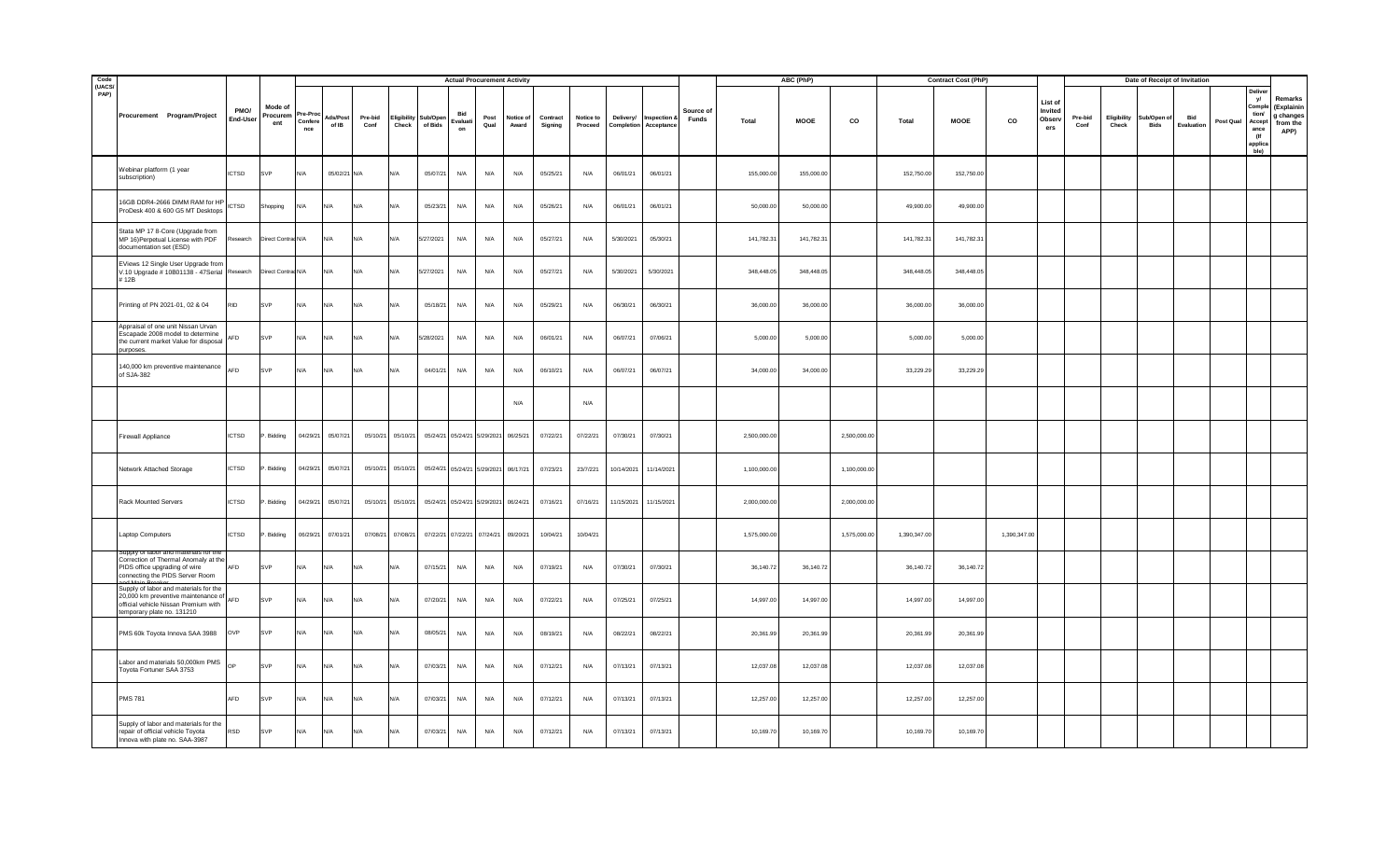| Code<br>(UACS/ |                                                                                                                                                        |                  |                            |                          |                   |                 |                      |                     | <b>Actual Procurement Activity</b>   |              |                    |                     |                      |            |                                              |                    |              | ABC (PhP)   |              |              | <b>Contract Cost (PhP)</b> |              |                                     |                 |                      |                    | Date of Receipt of Invitation |           |                                                                          |                                                        |
|----------------|--------------------------------------------------------------------------------------------------------------------------------------------------------|------------------|----------------------------|--------------------------|-------------------|-----------------|----------------------|---------------------|--------------------------------------|--------------|--------------------|---------------------|----------------------|------------|----------------------------------------------|--------------------|--------------|-------------|--------------|--------------|----------------------------|--------------|-------------------------------------|-----------------|----------------------|--------------------|-------------------------------|-----------|--------------------------------------------------------------------------|--------------------------------------------------------|
| PAP)           | Procurement Program/Project                                                                                                                            | PMO/<br>End-User | Mode of<br>Procurem<br>ent | 're-Pro<br>Confer<br>nce | Ads/Post<br>of IB | Pre-bid<br>Conf | Eligibility<br>Check | Sub/Open<br>of Bids | Bid<br>Evaluati<br>on                | Post<br>Qual | Notice of<br>Award | Contract<br>Signing | Notice to<br>Proceed | Delivery/  | Inspection &<br><b>Completion Acceptance</b> | Source of<br>Funds | Total        | <b>MOOE</b> | CO           | Total        | <b>MOOE</b>                | co           | List of<br>Invited<br>Observ<br>ers | Pre-bid<br>Conf | Eligibility<br>Check | ub/Open of<br>Bids | Bid<br>Evaluation             | Post Qual | Delive<br>V<br>Compl<br>tion/<br>Accept<br>ance<br>(If<br>applic<br>ble) | Remarks<br>(Explainin<br>g changes<br>from the<br>APP) |
|                | Webinar platform (1 year<br>subscription)                                                                                                              | <b>ICTSD</b>     | SVP                        | N/A                      | 05/02/21 N/A      |                 | N/l                  | 05/07/21            | N/A                                  | N/A          | N/A                | 05/25/21            | N/A                  | 06/01/21   | 06/01/21                                     |                    | 155,000.00   | 155,000.00  |              | 152,750.00   | 152,750.00                 |              |                                     |                 |                      |                    |                               |           |                                                                          |                                                        |
|                | 16GB DDR4-2666 DIMM RAM for HP<br>ProDesk 400 & 600 G5 MT Desktops                                                                                     | <b>ICTSD</b>     | Shopping                   | N/A                      | N/A               | N/A             | N/A                  | 05/23/21            | N/A                                  | N/A          | N/A                | 05/26/21            | N/A                  | 06/01/21   | 06/01/21                                     |                    | 50,000.00    | 50,000.00   |              | 49,900.00    | 49,900.00                  |              |                                     |                 |                      |                    |                               |           |                                                                          |                                                        |
|                | Stata MP 17 8-Core (Upgrade from<br>MP 16)Perpetual License with PDF<br>documentation set (ESD)                                                        | Research         | Direct Contrac N/A         |                          | N/A               | N/A             | N/A                  | 5/27/2021           | N/A                                  | N/A          | N/A                | 05/27/21            | N/A                  | 5/30/2021  | 05/30/21                                     |                    | 141,782.31   | 141,782.31  |              | 141,782.31   | 141,782.31                 |              |                                     |                 |                      |                    |                               |           |                                                                          |                                                        |
|                | EViews 12 Single User Upgrade from<br>V.10 Upgrade # 10B01138 - 47Serial Research<br>#12B                                                              |                  | Direct Contrac N/A         |                          | N/A               | N/A             | N/A                  | 5/27/2021           | N/A                                  | N/A          | N/A                | 05/27/21            | N/A                  | 5/30/2021  | 5/30/2021                                    |                    | 348,448.05   | 348,448.05  |              | 348,448.05   | 348,448.05                 |              |                                     |                 |                      |                    |                               |           |                                                                          |                                                        |
|                | Printing of PN 2021-01, 02 & 04                                                                                                                        | <b>RID</b>       | SVP                        | N/A                      | N/A               | N/A             | $N/\Delta$           | 05/18/21            | N/A                                  | N/A          | N/A                | 05/29/21            | N/A                  | 06/30/21   | 06/30/21                                     |                    | 36,000.00    | 36,000.00   |              | 36,000.00    | 36,000.00                  |              |                                     |                 |                      |                    |                               |           |                                                                          |                                                        |
|                | Appraisal of one unit Nissan Urvan<br>Escapade 2008 model to determine<br>the current market Value for disposal<br>purposes.                           | AFD              | SVP                        | N/A                      | N/A               | N/A             | N/A                  | 5/28/2021           | N/A                                  | N/A          | N/A                | 06/01/21            | N/A                  | 06/07/21   | 07/06/21                                     |                    | 5,000.00     | 5,000.00    |              | 5,000.00     | 5,000.00                   |              |                                     |                 |                      |                    |                               |           |                                                                          |                                                        |
|                | 140,000 km preventive maintenance AFD<br>of SJA-382                                                                                                    |                  | SVP                        | N/A                      | N/A               | N/A             | IN/A                 | 04/01/21            | N/A                                  | N/A          | N/A                | 06/10/21            | N/A                  | 06/07/21   | 06/07/21                                     |                    | 34,000.00    | 34,000.00   |              | 33,229.29    | 33,229.29                  |              |                                     |                 |                      |                    |                               |           |                                                                          |                                                        |
|                |                                                                                                                                                        |                  |                            |                          |                   |                 |                      |                     |                                      |              | N/A                |                     | N/A                  |            |                                              |                    |              |             |              |              |                            |              |                                     |                 |                      |                    |                               |           |                                                                          |                                                        |
|                | Firewall Appliance                                                                                                                                     | <b>ICTSD</b>     | . Bidding                  | 04/29/21                 | 05/07/21          |                 | 05/10/21 05/10/21    |                     | 05/24/21 05/24/21 5/29/2021 06/25/21 |              |                    | 07/22/21            | 07/22/21             | 07/30/21   | 07/30/21                                     |                    | 2,500,000,00 |             | 2,500,000.0  |              |                            |              |                                     |                 |                      |                    |                               |           |                                                                          |                                                        |
|                | Network Attached Storage                                                                                                                               | <b>ICTSD</b>     | . Bidding                  | 04/29/21                 | 05/07/21          |                 | 05/10/21 05/10/21    |                     | 05/24/21 05/24/21 5/29/2021 06/17/21 |              |                    | 07/23/21            | 23/7/221             | 10/14/2021 | 11/14/2021                                   |                    | 1,100,000.00 |             | 1,100,000.00 |              |                            |              |                                     |                 |                      |                    |                               |           |                                                                          |                                                        |
|                | Rack Mounted Servers                                                                                                                                   | <b>ICTSD</b>     | . Bidding                  | 04/29/21                 | 05/07/21          |                 | 05/10/21 05/10/21    |                     | 05/24/21 05/24/21 5/29/2021 06/24/21 |              |                    | 07/16/21            | 07/16/21             | 11/15/2021 | 11/15/2021                                   |                    | 2,000,000.00 |             | 2,000,000.0  |              |                            |              |                                     |                 |                      |                    |                               |           |                                                                          |                                                        |
|                | Laptop Computers                                                                                                                                       | <b>ICTSD</b>     | . Bidding                  | 06/29/21                 | 07/01/21          |                 | 07/08/21 07/08/21    |                     | 07/22/21 07/22/21 07/24/21           |              | 09/20/21           | 10/04/21            | 10/04/21             |            |                                              |                    | 1,575,000.00 |             | 1,575,000.00 | 1,390,347.00 |                            | 1,390,347.00 |                                     |                 |                      |                    |                               |           |                                                                          |                                                        |
|                | suppiy or labor<br>Correction of Thermal Anomaly at the<br>PIDS office upgrading of wire<br>connecting the PIDS Server Room                            | AFD              | SVP                        | N/A                      | N/A               | N/A             | N/A                  | 07/15/21            | N/A                                  | N/A          | N/A                | 07/19/21            | N/A                  | 07/30/21   | 07/30/21                                     |                    | 36,140.72    | 36,140.72   |              | 36,140.72    | 36,140.72                  |              |                                     |                 |                      |                    |                               |           |                                                                          |                                                        |
|                | Supply of labor and materials for the<br>20,000 km preventive maintenance of AFD<br>official vehicle Nissan Premium with<br>temporary plate no. 131210 |                  | SVP                        | N/A                      | N/A               | N/A             | N/A                  | 07/20/21            | N/A                                  | N/A          | N/A                | 07/22/21            | N/A                  | 07/25/21   | 07/25/21                                     |                    | 14,997.00    | 14,997.00   |              | 14,997.00    | 14,997.00                  |              |                                     |                 |                      |                    |                               |           |                                                                          |                                                        |
|                | PMS 60k Toyota Innova SAA 3988                                                                                                                         | OVP              | SVP                        | N/A                      | N/A               | N/A             | N/A                  | 08/05/21            | N/A                                  | N/A          | N/A                | 08/19/21            | N/A                  | 08/22/21   | 08/22/21                                     |                    | 20,361.99    | 20,361.99   |              | 20,361.99    | 20,361.99                  |              |                                     |                 |                      |                    |                               |           |                                                                          |                                                        |
|                | Labor and materials 50,000km PMS<br>Toyota Fortuner SAA 3753                                                                                           |                  | <b>SVP</b>                 | N/A                      | N/A               | N/A             | $N/\Delta$           | 07/03/21            | N/A                                  | N/A          | N/A                | 07/12/21            | N/A                  | 07/13/21   | 07/13/21                                     |                    | 12,037.08    | 12,037.08   |              | 12,037.08    | 12,037.08                  |              |                                     |                 |                      |                    |                               |           |                                                                          |                                                        |
|                | <b>PMS 781</b>                                                                                                                                         | AFD              | SVP                        | N/A                      | N/A               | N/A             | $N$ /                | 07/03/21            | N/A                                  | N/A          | N/A                | 07/12/21            | N/A                  | 07/13/21   | 07/13/21                                     |                    | 12,257.00    | 12,257.00   |              | 12,257.00    | 12,257.00                  |              |                                     |                 |                      |                    |                               |           |                                                                          |                                                        |
|                | Supply of labor and materials for the<br>repair of official vehicle Toyota<br>Innova with plate no. SAA-3987                                           | <b>RSD</b>       | SVP                        | N/A                      | N/A               | N/A             | N/A                  | 07/03/21            | N/A                                  | N/A          | N/A                | 07/12/21            | N/A                  | 07/13/21   | 07/13/21                                     |                    | 10,169.70    | 10,169.70   |              | 10,169.70    | 10,169.70                  |              |                                     |                 |                      |                    |                               |           |                                                                          |                                                        |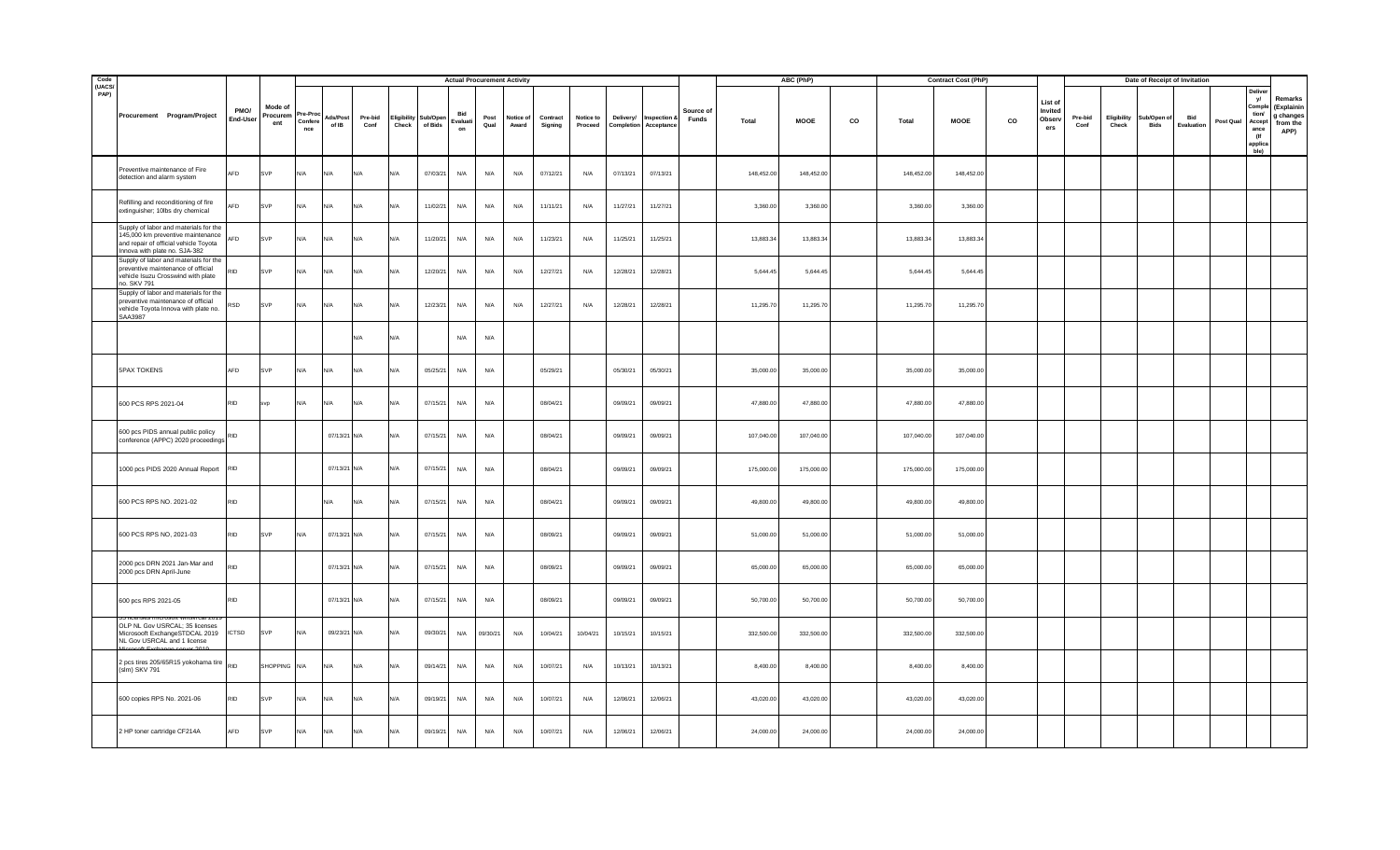| Code<br>(UACS/ |                                                                                                                                                      |                  |                           |                          |                   |                 |                      |                     | <b>Actual Procurement Activity</b> |              |                    |                     |                      |           |                                              |                    |              | ABC (PhP)  |    |              | <b>Contract Cost (PhP)</b> |    |                                    |                 |                      |                    | Date of Receipt of Invitation |           |                                                                            |                                                        |
|----------------|------------------------------------------------------------------------------------------------------------------------------------------------------|------------------|---------------------------|--------------------------|-------------------|-----------------|----------------------|---------------------|------------------------------------|--------------|--------------------|---------------------|----------------------|-----------|----------------------------------------------|--------------------|--------------|------------|----|--------------|----------------------------|----|------------------------------------|-----------------|----------------------|--------------------|-------------------------------|-----------|----------------------------------------------------------------------------|--------------------------------------------------------|
| PAP)           | Procurement Program/Project                                                                                                                          | PMO/<br>End-User | Mode o<br>Procurem<br>ent | 're-Pr<br>Confere<br>nce | Ads/Post<br>of IB | Pre-bid<br>Conf | Eligibility<br>Check | Sub/Open<br>of Bids | Bid<br>Evaluati<br>on              | Post<br>Qual | Notice of<br>Award | Contract<br>Signing | Notice to<br>Proceed | Delivery/ | Inspection &<br><b>Completion Acceptance</b> | Source of<br>Funds | <b>Total</b> | MOOE       | CO | <b>Total</b> | <b>MOOE</b>                | co | List of<br>Invited<br>Obser<br>ers | Pre-bid<br>Conf | Eligibility<br>Check | ub/Open of<br>Bids | Bid<br>Evaluation             | Post Qual | Delive<br>yl<br>Comple<br>tion<br>Accept<br>ance<br>(If<br>applica<br>ble) | Remarks<br>(Explainin<br>g changes<br>from the<br>APP) |
|                | Preventive maintenance of Fire<br>detection and alarm system                                                                                         | AFD              | SVP                       | N/A                      | N/A               | <b>AVA</b>      |                      | 07/03/21            | N/A                                | N/A          | N/A                | 07/12/21            | N/A                  | 07/13/21  | 07/13/21                                     |                    | 148,452.00   | 148,452.00 |    | 148,452.00   | 148,452.00                 |    |                                    |                 |                      |                    |                               |           |                                                                            |                                                        |
|                | Refilling and reconditioning of fire<br>extinguisher; 10lbs dry chemical                                                                             | AFD              | SVP                       | N/A                      | N/A               | N/A             | $N/\Delta$           | 11/02/21            | N/A                                | N/A          | N/A                | 11/11/21            | N/A                  | 11/27/21  | 11/27/21                                     |                    | 3,360.00     | 3,360.00   |    | 3,360.00     | 3,360.00                   |    |                                    |                 |                      |                    |                               |           |                                                                            |                                                        |
|                | Supply of labor and materials for the<br>145,000 km preventive maintenance<br>and repair of official vehicle Toyota<br>Innova with plate no. SJA-382 | AFD              | SVP                       | N/A                      | N/A               | N/A             | N/A                  | 11/20/21            | N/A                                | N/A          | N/A                | 11/23/21            | N/A                  | 11/25/21  | 11/25/21                                     |                    | 13,883.34    | 13,883.34  |    | 13,883.34    | 13,883.34                  |    |                                    |                 |                      |                    |                               |           |                                                                            |                                                        |
|                | Supply of labor and materials for the<br>preventive maintenance of official<br>vehicle Isuzu Crosswind with plate<br>no. SKV 791                     | rid              | SVP                       | N/A                      | N/A               | N/A             | N/A                  | 12/20/21            | N/A                                | N/A          | N/A                | 12/27/21            | N/A                  | 12/28/21  | 12/28/21                                     |                    | 5,644.45     | 5,644.45   |    | 5,644.45     | 5,644.45                   |    |                                    |                 |                      |                    |                               |           |                                                                            |                                                        |
|                | Supply of labor and materials for the<br>preventive maintenance of official<br>vehicle Toyota Innova with plate no.<br>SAA3987                       | \SD              | SVP                       | N/A                      | N/A               | N/A             | N/A                  | 12/23/21            | N/A                                | N/A          | N/A                | 12/27/21            | N/A                  | 12/28/21  | 12/28/21                                     |                    | 11,295.70    | 11,295.70  |    | 11,295.70    | 11,295.70                  |    |                                    |                 |                      |                    |                               |           |                                                                            |                                                        |
|                |                                                                                                                                                      |                  |                           |                          |                   | <b>VA</b>       |                      |                     | N/A                                | N/A          |                    |                     |                      |           |                                              |                    |              |            |    |              |                            |    |                                    |                 |                      |                    |                               |           |                                                                            |                                                        |
|                | 5PAX TOKENS                                                                                                                                          | AFD              | SVP                       | N/A                      | N/A               | N/A             | N/A                  | 05/25/21            | N/A                                | N/A          |                    | 05/29/21            |                      | 05/30/21  | 05/30/21                                     |                    | 35,000.00    | 35,000.00  |    | 35,000.00    | 35,000.00                  |    |                                    |                 |                      |                    |                               |           |                                                                            |                                                        |
|                | 600 PCS RPS 2021-04                                                                                                                                  | <b>RID</b>       | svp                       | N/A                      | N/A               | <b>VA</b>       |                      | 07/15/21            | N/A                                | N/A          |                    | 08/04/21            |                      | 09/09/21  | 09/09/21                                     |                    | 47,880.00    | 47,880.00  |    | 47,880.00    | 47,880.00                  |    |                                    |                 |                      |                    |                               |           |                                                                            |                                                        |
|                | 600 pcs PIDS annual public policy<br>conference (APPC) 2020 proceedings                                                                              | RID              |                           |                          | 07/13/21 N/A      |                 | $N/\Delta$           | 07/15/21            | N/A                                | N/A          |                    | 08/04/21            |                      | 09/09/21  | 09/09/21                                     |                    | 107,040.00   | 107,040.00 |    | 107,040.00   | 107,040.00                 |    |                                    |                 |                      |                    |                               |           |                                                                            |                                                        |
|                | 1000 pcs PIDS 2020 Annual Report                                                                                                                     | <b>RID</b>       |                           |                          | 07/13/21 N/A      |                 | N/l                  | 07/15/21            | N/A                                | N/A          |                    | 08/04/21            |                      | 09/09/21  | 09/09/21                                     |                    | 175,000.00   | 175,000.00 |    | 175,000.00   | 175,000.00                 |    |                                    |                 |                      |                    |                               |           |                                                                            |                                                        |
|                | 600 PCS RPS NO. 2021-02                                                                                                                              | <b>RID</b>       |                           |                          | N/A               | N/A             | $N/\Delta$           | 07/15/21            | N/A                                | N/A          |                    | 08/04/21            |                      | 09/09/21  | 09/09/21                                     |                    | 49,800.0     | 49,800.00  |    | 49,800.00    | 49,800.00                  |    |                                    |                 |                      |                    |                               |           |                                                                            |                                                        |
|                | 600 PCS RPS NO, 2021-03                                                                                                                              | <b>RID</b>       | SVP                       | N/A                      | 07/13/21 N/A      |                 | N/A                  | 07/15/21            | N/A                                | N/A          |                    | 08/09/21            |                      | 09/09/21  | 09/09/21                                     |                    | 51,000.00    | 51,000.00  |    | 51,000.00    | 51,000.00                  |    |                                    |                 |                      |                    |                               |           |                                                                            |                                                        |
|                | 2000 pcs DRN 2021 Jan-Mar and<br>2000 pcs DRN April-June                                                                                             | RID              |                           |                          | 07/13/21 N/A      |                 | N/A                  | 07/15/21            | N/A                                | N/A          |                    | 08/09/21            |                      | 09/09/21  | 09/09/21                                     |                    | 65,000.00    | 65,000.00  |    | 65,000.00    | 65,000.00                  |    |                                    |                 |                      |                    |                               |           |                                                                            |                                                        |
|                | 600 pcs RPS 2021-05                                                                                                                                  | <b>RID</b>       |                           |                          | 07/13/21 N/A      |                 | $N/\Delta$           | 07/15/21            | N/A                                | N/A          |                    | 08/09/21            |                      | 09/09/21  | 09/09/21                                     |                    | 50,700.00    | 50,700.00  |    | 50,700.00    | 50,700.00                  |    |                                    |                 |                      |                    |                               |           |                                                                            |                                                        |
|                | OLP NL Gov USRCAL; 35 licenses<br>Microsooft ExchangeSTDCAL 2019<br>NL Gov USRCAL and 1 license                                                      | <b>ICTSD</b>     | SVP                       | N/A                      | 09/23/21 N/A      |                 | N/I                  | 09/30/21            | N/A                                | 09/30/21     | N/A                | 10/04/21            | 10/04/21             | 10/15/21  | 10/15/21                                     |                    | 332,500.00   | 332,500.00 |    | 332,500.00   | 332,500.00                 |    |                                    |                 |                      |                    |                               |           |                                                                            |                                                        |
|                | 2 pcs tires 205/65R15 yokohama tire<br>(slm) SKV 791                                                                                                 |                  | <b>SHOPPING</b>           | N/A                      | N/A               | N/A             | N/A                  | 09/14/21            | N/A                                | N/A          | N/A                | 10/07/21            | N/A                  | 10/13/21  | 10/13/21                                     |                    | 8,400.00     | 8,400.00   |    | 8,400.00     | 8,400.00                   |    |                                    |                 |                      |                    |                               |           |                                                                            |                                                        |
|                | 600 copies RPS No. 2021-06                                                                                                                           | <b>RID</b>       | SVP                       | N/A                      | N/A               | N/A             |                      | 09/19/21            | N/A                                | N/A          | N/A                | 10/07/21            | N/A                  | 12/06/21  | 12/06/21                                     |                    | 43,020.00    | 43,020.00  |    | 43,020.00    | 43,020.00                  |    |                                    |                 |                      |                    |                               |           |                                                                            |                                                        |
|                | 2 HP toner cartridge CF214A                                                                                                                          | AFD              | SVP                       | N/A                      | N/A               | N/A             | N/A                  | 09/19/21            | N/A                                | N/A          | N/A                | 10/07/21            | N/A                  | 12/06/21  | 12/06/21                                     |                    | 24,000.00    | 24,000.00  |    | 24,000.00    | 24,000.00                  |    |                                    |                 |                      |                    |                               |           |                                                                            |                                                        |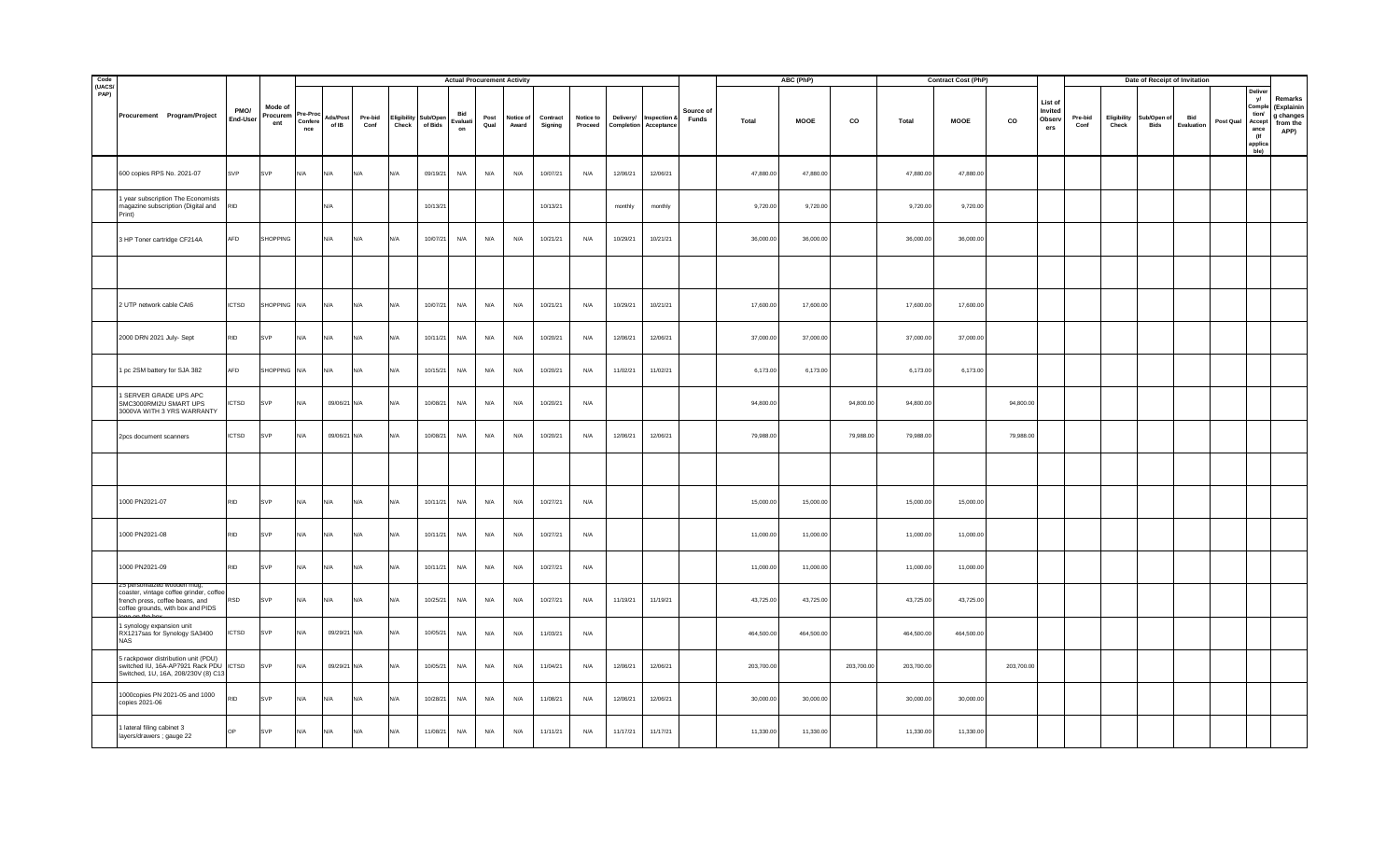| Code<br>(UACS/ |                                                                                                                      |                  |                            |                          |                   |                 |                      |                     | <b>Actual Procurement Activity</b> |              |                    |                     |                      |           |                                              |                    |            | ABC (PhP)   |            |            | <b>Contract Cost (PhP)</b> |            |                                     |                 |                      |                    | Date of Receipt of Invitation |           |                                                                           |                                                        |
|----------------|----------------------------------------------------------------------------------------------------------------------|------------------|----------------------------|--------------------------|-------------------|-----------------|----------------------|---------------------|------------------------------------|--------------|--------------------|---------------------|----------------------|-----------|----------------------------------------------|--------------------|------------|-------------|------------|------------|----------------------------|------------|-------------------------------------|-----------------|----------------------|--------------------|-------------------------------|-----------|---------------------------------------------------------------------------|--------------------------------------------------------|
| PAP)           | Procurement Program/Project                                                                                          | PMO/<br>End-User | Mode of<br>Procurem<br>ent | 're-Pro<br>Confer<br>nce | Ads/Post<br>of IB | Pre-bid<br>Conf | Eligibility<br>Check | Sub/Open<br>of Bids | Bid<br>Evaluati<br>on              | Post<br>Qual | Notice of<br>Award | Contract<br>Signing | Notice to<br>Proceed | Delivery/ | Inspection &<br><b>Completion Acceptance</b> | Source of<br>Funds | Total      | <b>MOOE</b> | CO         | Total      | <b>MOOE</b>                | co         | List of<br>Invited<br>Observ<br>ers | Pre-bid<br>Conf | Eligibility<br>Check | ub/Open of<br>Bids | Bid<br>Evaluation             | Post Qual | Delive<br>yl<br>Compl<br>tion/<br>Accept<br>ance<br>(If<br>applic<br>ble) | Remarks<br>(Explainin<br>g changes<br>from the<br>APP) |
|                | 600 copies RPS No. 2021-07                                                                                           | SVP              | SVP                        | N/A                      | N/A               | N/A             | N/l                  | 09/19/21            | N/A                                | N/A          | N/A                | 10/07/21            | N/A                  | 12/06/21  | 12/06/21                                     |                    | 47,880.00  | 47,880.00   |            | 47,880.00  | 47,880.00                  |            |                                     |                 |                      |                    |                               |           |                                                                           |                                                        |
|                | 1 year subscription The Economists<br>magazine subscription (Digital and<br>Print)                                   | RID              |                            |                          | N/A               |                 |                      | 10/13/21            |                                    |              |                    | 10/13/21            |                      | monthly   | monthly                                      |                    | 9,720.00   | 9,720.00    |            | 9,720.00   | 9,720.00                   |            |                                     |                 |                      |                    |                               |           |                                                                           |                                                        |
|                | 3 HP Toner cartridge CF214A                                                                                          | AFD              | SHOPPING                   |                          | N/A               | N/A             | N/                   | 10/07/21            | N/A                                | N/A          | N/A                | 10/21/21            | N/A                  | 10/29/21  | 10/21/21                                     |                    | 36,000.00  | 36,000.00   |            | 36,000.00  | 36,000.00                  |            |                                     |                 |                      |                    |                               |           |                                                                           |                                                        |
|                |                                                                                                                      |                  |                            |                          |                   |                 |                      |                     |                                    |              |                    |                     |                      |           |                                              |                    |            |             |            |            |                            |            |                                     |                 |                      |                    |                               |           |                                                                           |                                                        |
|                | 2 UTP network cable CAt6                                                                                             | <b>ICTSD</b>     | SHOPPING N/A               |                          | N/A               | N/A             | N/A                  | 10/07/21            | N/A                                | N/A          | N/A                | 10/21/21            | N/A                  | 10/29/21  | 10/21/21                                     |                    | 17,600.00  | 17,600.00   |            | 17,600.00  | 17,600.00                  |            |                                     |                 |                      |                    |                               |           |                                                                           |                                                        |
|                | 2000 DRN 2021 July- Sept                                                                                             | <b>RID</b>       | SVP                        | N/A                      | N/A               | N/A             | N/l                  | 10/11/21            | N/A                                | N/A          | N/A                | 10/20/21            | N/A                  | 12/06/21  | 12/06/21                                     |                    | 37,000.00  | 37,000.00   |            | 37,000.00  | 37,000.00                  |            |                                     |                 |                      |                    |                               |           |                                                                           |                                                        |
|                | 1 pc 2SM battery for SJA 382                                                                                         | AFD              | SHOPPING                   | N/A                      | N/A               | N/A             | IN/A                 | 10/15/21            | N/A                                | N/A          | N/A                | 10/20/21            | N/A                  | 11/02/21  | 11/02/21                                     |                    | 6,173.00   | 6,173.00    |            | 6,173.00   | 6,173.00                   |            |                                     |                 |                      |                    |                               |           |                                                                           |                                                        |
|                | SERVER GRADE UPS APC<br>SMC3000RMI2U SMART UPS<br>3000VA WITH 3 YRS WARRANTY                                         | <b>ICTSD</b>     | <b>SVP</b>                 | N/A                      | 09/06/21 N/A      |                 |                      | 10/08/21            | N/A                                | N/A          | N/A                | 10/20/21            | N/A                  |           |                                              |                    | 94,800.00  |             | 94,800.00  | 94,800.00  |                            | 94,800.00  |                                     |                 |                      |                    |                               |           |                                                                           |                                                        |
|                | 2pcs document scanners                                                                                               | <b>ICTSD</b>     | SVP                        | N/A                      | 09/06/21 N/A      |                 | N/A                  | 10/08/21            | N/A                                | N/A          | N/A                | 10/20/21            | N/A                  | 12/06/21  | 12/06/21                                     |                    | 79,988.00  |             | 79,988.00  | 79,988.00  |                            | 79,988.00  |                                     |                 |                      |                    |                               |           |                                                                           |                                                        |
|                |                                                                                                                      |                  |                            |                          |                   |                 |                      |                     |                                    |              |                    |                     |                      |           |                                              |                    |            |             |            |            |                            |            |                                     |                 |                      |                    |                               |           |                                                                           |                                                        |
|                | 1000 PN2021-07                                                                                                       | <b>RID</b>       | SVP                        | N/A                      | N/A               | N/A             | $N/\Delta$           | 10/11/21            | N/A                                | N/A          | N/A                | 10/27/21            | N/A                  |           |                                              |                    | 15,000.00  | 15,000.00   |            | 15,000.00  | 15,000.00                  |            |                                     |                 |                      |                    |                               |           |                                                                           |                                                        |
|                | 1000 PN2021-08                                                                                                       | <b>RID</b>       | SVP                        | N/A                      | N/A               | N/A             | N/A                  | 10/11/21            | N/A                                | N/A          | N/A                | 10/27/21            | N/A                  |           |                                              |                    | 11,000.00  | 11,000.00   |            | 11,000.00  | 11,000.00                  |            |                                     |                 |                      |                    |                               |           |                                                                           |                                                        |
|                | 1000 PN2021-09                                                                                                       | <b>RID</b>       | SVP                        | N/A                      | N/A               | N/A             | N/A                  | 10/11/21            | N/A                                | N/A          | N/A                | 10/27/21            | N/A                  |           |                                              |                    | 11,000.00  | 11,000.00   |            | 11,000.00  | 11,000.00                  |            |                                     |                 |                      |                    |                               |           |                                                                           |                                                        |
|                | coaster, vintage coffee grinder, coffee<br>french press, coffee beans, and<br>coffee grounds, with box and PIDS      | <b>RSD</b>       | SVP                        | N/A                      | N/A               | N/A             | N/A                  | 10/25/21            | N/A                                | N/A          | N/A                | 10/27/21            | N/A                  | 11/19/21  | 11/19/21                                     |                    | 43,725.00  | 43,725.00   |            | 43,725.00  | 43,725.00                  |            |                                     |                 |                      |                    |                               |           |                                                                           |                                                        |
|                | 1 synology expansion unit<br>RX1217sas for Synology SA3400<br><b>NAS</b>                                             | <b>ICTSD</b>     | SVP                        | N/A                      | 09/29/21 N/A      |                 | N/A                  | 10/05/21            | N/A                                | N/A          | N/A                | 11/03/21            | N/A                  |           |                                              |                    | 464,500.00 | 464,500.00  |            | 464,500.00 | 464,500.00                 |            |                                     |                 |                      |                    |                               |           |                                                                           |                                                        |
|                | 5 rackpower distribution unit (PDU)<br>switched IU, 16A-AP7921 Rack PDU ICTSD<br>Switched, 1U, 16A, 208/230V (8) C13 |                  | SVP                        | N/A                      | 09/29/21 N/A      |                 | N/A                  | 10/05/21            | N/A                                | N/A          | N/A                | 11/04/21            | N/A                  | 12/06/21  | 12/06/21                                     |                    | 203,700.00 |             | 203,700.00 | 203,700.00 |                            | 203,700.00 |                                     |                 |                      |                    |                               |           |                                                                           |                                                        |
|                | 1000copies PN 2021-05 and 1000<br>copies 2021-06                                                                     | <b>RID</b>       | SVP                        | N/A                      | N/A               | N/A             |                      | 10/28/21            | N/A                                | N/A          | N/A                | 11/08/21            | N/A                  | 12/06/21  | 12/06/21                                     |                    | 30,000.00  | 30,000.00   |            | 30,000.00  | 30,000.00                  |            |                                     |                 |                      |                    |                               |           |                                                                           |                                                        |
|                | 1 lateral filing cabinet 3<br>layers/drawers ; gauge 22                                                              | OP               | SVP                        | N/A                      | N/A               | N/A             | N/A                  | 11/08/21            | N/A                                | N/A          | N/A                | 11/11/21            | N/A                  | 11/17/21  | 11/17/21                                     |                    | 11,330.00  | 11,330.00   |            | 11,330.00  | 11,330.00                  |            |                                     |                 |                      |                    |                               |           |                                                                           |                                                        |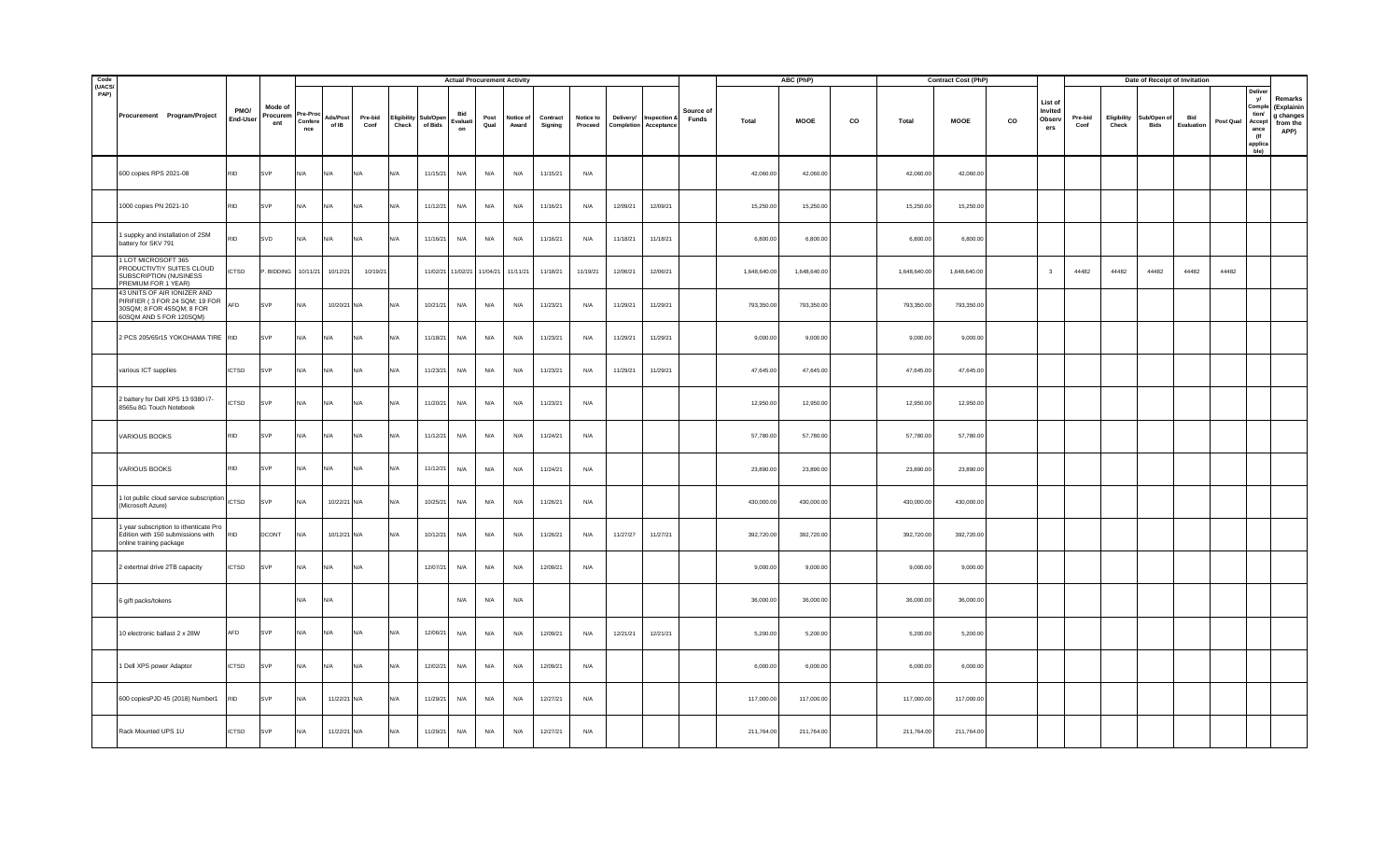| Code<br>(UACS/ |                                                                                                                       |                  |                            |                          |                   |                 |                             |                     | <b>Actual Procurement Activity</b> |              |                    |                     |                      |           |                                              |                    |              | ABC (PhP)    |    |              | <b>Contract Cost (PhP)</b> |    |                                    |                 |                      | Date of Receipt of Invitation |                   |           |                                                                            |                                                        |
|----------------|-----------------------------------------------------------------------------------------------------------------------|------------------|----------------------------|--------------------------|-------------------|-----------------|-----------------------------|---------------------|------------------------------------|--------------|--------------------|---------------------|----------------------|-----------|----------------------------------------------|--------------------|--------------|--------------|----|--------------|----------------------------|----|------------------------------------|-----------------|----------------------|-------------------------------|-------------------|-----------|----------------------------------------------------------------------------|--------------------------------------------------------|
| PAP)           | Procurement Program/Project                                                                                           | PMO/<br>End-User | Mode of<br>Procurem<br>ent | 're-Pr<br>Confere<br>nce | Ads/Post<br>of IB | Pre-bid<br>Conf | <b>Eligibility</b><br>Check | Sub/Open<br>of Bids | Bid<br>Evaluati<br>on              | Post<br>Qual | Notice of<br>Award | Contract<br>Signing | Notice to<br>Proceed | Delivery/ | Inspection &<br><b>Completion Acceptance</b> | Source of<br>Funds | <b>Total</b> | MOOE         | CO | <b>Total</b> | MOOE                       | co | List of<br>Invited<br>Obser<br>ers | Pre-bid<br>Conf | Eligibility<br>Check | Sub/Open of<br>Bids           | Bid<br>Evaluation | Post Qual | Delive<br>yl<br>Comple<br>tion<br>Accept<br>ance<br>(If<br>applica<br>ble) | Remarks<br>(Explainin<br>g changes<br>from the<br>APP) |
|                | 600 copies RPS 2021-08                                                                                                | <b>RID</b>       | SVP                        | N/A                      | N/A               | <b>AVA</b>      | N/A                         | 11/15/21            | N/A                                | N/A          | N/A                | 11/15/21            | N/A                  |           |                                              |                    | 42,060.00    | 42,060.00    |    | 42,060.00    | 42,060.00                  |    |                                    |                 |                      |                               |                   |           |                                                                            |                                                        |
|                | 1000 copies PN 2021-10                                                                                                | <b>RID</b>       | SVP                        | N/A                      | N/A               | N/A             | $N/\Delta$                  | 11/12/21            | N/A                                | N/A          | N/A                | 11/16/21            | N/A                  | 12/09/21  | 12/09/21                                     |                    | 15,250.00    | 15,250.00    |    | 15,250.00    | 15,250.00                  |    |                                    |                 |                      |                               |                   |           |                                                                            |                                                        |
|                | 1 suppky and installation of 2SM<br>battery for SKV 791                                                               | <b>RID</b>       | SVD                        | N/A                      | N/A               | N/A             | N/A                         | 11/16/21            | N/A                                | N/A          | N/A                | 11/16/21            | N/A                  | 11/18/21  | 11/18/21                                     |                    | 6,800.00     | 6,800.00     |    | 6,800.00     | 6,800.00                   |    |                                    |                 |                      |                               |                   |           |                                                                            |                                                        |
|                | 1 LOT MICROSOFT 365<br>PRODUCTIVTIY SUITES CLOUD<br>SUBSCRIPTION (NUSINESS<br>PREMIUM FOR 1 YEAR)                     | <b>ICTSD</b>     | . BIDDING                  | 10/11/21                 | 10/12/21          | 10/19/21        |                             |                     | 11/02/21 11/02/21                  | 11/04/21     | 11/11/21           | 11/18/21            | 11/19/21             | 12/06/21  | 12/06/21                                     |                    | 1,648,640.00 | 1,648,640.00 |    | 1,648,640.00 | 1,648,640.00               |    | $\overline{\mathbf{3}}$            | 44482           | 44482                | 44482                         | 44482             | 44482     |                                                                            |                                                        |
|                | 43 UNITS OF AIR IONIZER AND<br>PIRIFIER (3 FOR 24 SQM; 19 FOR<br>30SQM; 8 FOR 45SQM; 8 FOR<br>60SQM AND 5 FOR 120SQM) | AFD              | SVP                        | N/A                      | 10/20/21 N/A      |                 | N/A                         | 10/21/21            | N/A                                | N/A          | N/A                | 11/23/21            | N/A                  | 11/29/21  | 11/29/21                                     |                    | 793,350.00   | 793,350.00   |    | 793,350.00   | 793,350.00                 |    |                                    |                 |                      |                               |                   |           |                                                                            |                                                        |
|                | 2 PCS 205/65r15 YOKOHAMA TIRE RID                                                                                     |                  | SVP                        | N/A                      | N/A               | N/A             | N/A                         | 11/18/21            | N/A                                | N/A          | N/A                | 11/23/21            | N/A                  | 11/29/21  | 11/29/21                                     |                    | 9,000.00     | 9,000.00     |    | 9,000.00     | 9,000.00                   |    |                                    |                 |                      |                               |                   |           |                                                                            |                                                        |
|                | various ICT supplies                                                                                                  | <b>ICTSD</b>     | SVP                        | N/A                      | N/A               | N/A             | N/A                         | 11/23/21            | N/A                                | N/A          | N/A                | 11/23/21            | N/A                  | 11/29/21  | 11/29/21                                     |                    | 47,645.00    | 47,645.00    |    | 47,645.00    | 47,645.00                  |    |                                    |                 |                      |                               |                   |           |                                                                            |                                                        |
|                | 2 battery for Dell XPS 13 9380 i7-<br>8565u 8G Touch Notebook                                                         | CTSD             | iVP                        | N/A                      | N/A               | <b>VA</b>       |                             | 11/20/21            | N/A                                | N/A          | N/A                | 11/23/21            | N/A                  |           |                                              |                    | 12,950.00    | 12,950.00    |    | 12,950.00    | 12,950.00                  |    |                                    |                 |                      |                               |                   |           |                                                                            |                                                        |
|                | VARIOUS BOOKS                                                                                                         | <b>RID</b>       | SVP                        | N/A                      | N/A               | N/A             | IN/A                        | 11/12/21            | N/A                                | N/A          | N/A                | 11/24/21            | N/A                  |           |                                              |                    | 57,780.00    | 57,780.00    |    | 57,780.00    | 57,780.00                  |    |                                    |                 |                      |                               |                   |           |                                                                            |                                                        |
|                | VARIOUS BOOKS                                                                                                         | <b>RID</b>       | SVP                        | N/A                      | N/A               | N/A             | N/A                         | 11/12/21            | N/A                                | N/A          | N/A                | 11/24/21            | N/A                  |           |                                              |                    | 23,890.00    | 23,890.00    |    | 23,890.00    | 23,890.00                  |    |                                    |                 |                      |                               |                   |           |                                                                            |                                                        |
|                | 1 lot public cloud service subscription<br>(Microsoft Azure)                                                          | <b>ICTSD</b>     | SVP                        | N/A                      | 10/22/21 N/A      |                 | N/A                         | 10/25/21            | N/A                                | N/A          | N/A                | 11/26/21            | N/A                  |           |                                              |                    | 430,000.00   | 430,000.00   |    | 430,000.00   | 430,000.00                 |    |                                    |                 |                      |                               |                   |           |                                                                            |                                                        |
|                | 1 year subscription to ithenticate Pro<br>Edition with 150 submissions with<br>online training package                | <b>RID</b>       | DCONT                      | N/A                      | 10/12/21 N/A      |                 | N/A                         | 10/12/21            | N/A                                | N/A          | N/A                | 11/26/21            | N/A                  | 11/27/27  | 11/27/21                                     |                    | 392,720.00   | 392,720.00   |    | 392,720.00   | 392,720.00                 |    |                                    |                 |                      |                               |                   |           |                                                                            |                                                        |
|                | 2 extertnal drive 2TB capacity                                                                                        | <b>ICTSD</b>     | SVP                        | N/A                      | N/A               | N/A             |                             | 12/07/21            | N/A                                | N/A          | N/A                | 12/09/21            | N/A                  |           |                                              |                    | 9,000.00     | 9,000.00     |    | 9,000.00     | 9,000.00                   |    |                                    |                 |                      |                               |                   |           |                                                                            |                                                        |
|                | 6 gift packs/tokens                                                                                                   |                  |                            | N/A                      | N/A               |                 |                             |                     | N/A                                | N/A          | N/A                |                     |                      |           |                                              |                    | 36,000.00    | 36,000.00    |    | 36,000.00    | 36,000.00                  |    |                                    |                 |                      |                               |                   |           |                                                                            |                                                        |
|                | 10 electronic ballast 2 x 28W                                                                                         | AFD              | SVP                        | N/A                      | N/A               | N/A             | N/A                         | 12/06/21            | N/A                                | N/A          | N/A                | 12/09/21            | N/A                  | 12/21/21  | 12/21/21                                     |                    | 5,200.00     | 5,200.00     |    | 5,200.00     | 5,200.00                   |    |                                    |                 |                      |                               |                   |           |                                                                            |                                                        |
|                | 1 Dell XPS power Adaptor                                                                                              | <b>ICTSD</b>     | SVP                        | N/A                      | N/A               | N/A             | N/A                         | 12/02/21            | N/A                                | N/A          | N/A                | 12/09/21            | N/A                  |           |                                              |                    | 6,000.00     | 6,000.00     |    | 6,000.00     | 6,000.00                   |    |                                    |                 |                      |                               |                   |           |                                                                            |                                                        |
|                | 600 copiesPJD 45 (2018) Number1                                                                                       | <b>RID</b>       | SVP                        | N/A                      | 11/22/21 N/A      |                 |                             | 11/29/21            | N/A                                | N/A          | N/A                | 12/27/21            | N/A                  |           |                                              |                    | 117,000.00   | 117,000.00   |    | 117,000.00   | 117,000.00                 |    |                                    |                 |                      |                               |                   |           |                                                                            |                                                        |
|                | Rack Mounted UPS 1U                                                                                                   | <b>ICTSD</b>     | SVP                        | N/A                      | 11/22/21 N/A      |                 | N/A                         | 11/29/21            | N/A                                | N/A          | N/A                | 12/27/21            | N/A                  |           |                                              |                    | 211,764.00   | 211,764.00   |    | 211,764.00   | 211,764.00                 |    |                                    |                 |                      |                               |                   |           |                                                                            |                                                        |